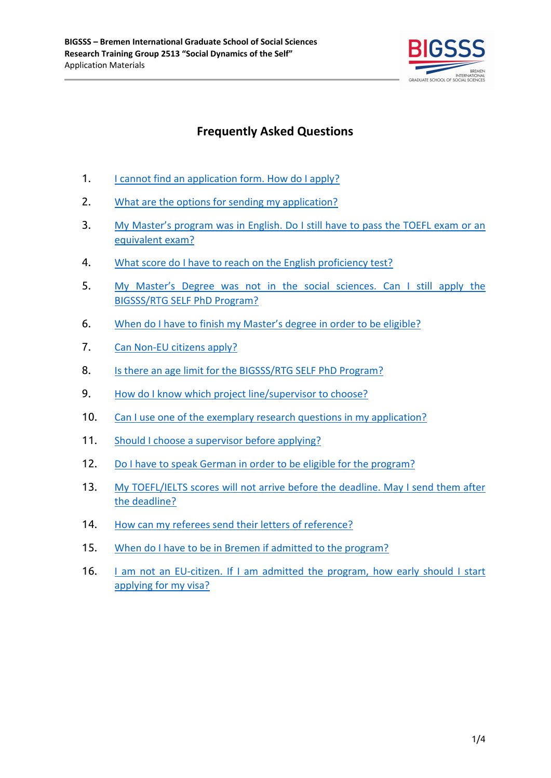

# **Frequently Asked Questions**

- 1. [I cannot find an application form. How do I apply?](#page-1-0)
- 2. [What are the options for sending my application?](#page-1-1)
- 3. My Master's program w[as in English. Do I still have to pass the TOEFL exam or an](#page-1-2) [equivalent exam?](#page-1-2)
- 4. [What score do I have to reach on the English proficiency test?](#page-1-3)
- 5. My Master's Degree w[as not in the social sciences. Can I still apply the](#page-1-4) [BIGSSS/RTG SELF PhD Program?](#page-1-4)
- 6. [When do I have to finish my Master's](#page-2-0) degree in order to be eligible?
- 7. [Can Non-EU citizens apply?](#page-2-1)
- 8. [Is there an age limit for the BIGSSS/RTG SELF PhD Program?](#page-2-2)
- 9. [How do I know which project line/supervisor to choose?](#page-2-3)
- 10. [Can I use one of the exemplary research questions in my application?](#page-2-4)
- 11. [Should I choose a supervisor before applying?](#page-2-5)
- 12. [Do I have to speak German in order to be eligible for the program?](#page-2-6)
- 13. [My TOEFL/IELTS scores will not arrive before the deadline. May I send them after](#page-3-0) [the deadline?](#page-3-0)
- 14. [How can my referees send their letters of reference?](#page-3-1)
- 15. [When do I have to be in Bremen if admitted to the program?](#page-3-2)
- 16. Lam not an EU-citizen. If I am admitted the program, how early should I start [applying for my visa?](#page-3-3)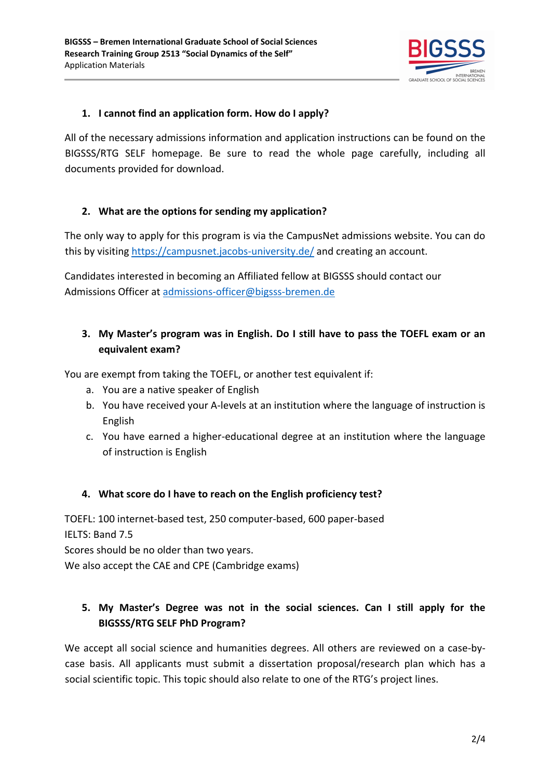

### <span id="page-1-0"></span>**1. I cannot find an application form. How do I apply?**

All of the necessary admissions information and application instructions can be found on the BIGSSS/RTG SELF homepage. Be sure to read the whole page carefully, including all documents provided for download.

### <span id="page-1-1"></span>**2. What are the options for sending my application?**

The only way to apply for this program is via the CampusNet admissions website. You can do this by visiting<https://campusnet.jacobs-university.de/>and creating an account.

Candidates interested in becoming an Affiliated fellow at BIGSSS should contact our Admissions Officer at [admissions-officer@bigsss-bremen.de](mailto:admissions-officer@bigsss-bremen.de)

### <span id="page-1-2"></span>**3. My Master's program was in English. Do I still have to pass the TOEFL exam or an equivalent exam?**

You are exempt from taking the TOEFL, or another test equivalent if:

- a. You are a native speaker of English
- b. You have received your A-levels at an institution where the language of instruction is English
- c. You have earned a higher-educational degree at an institution where the language of instruction is English

#### <span id="page-1-3"></span>**4. What score do I have to reach on the English proficiency test?**

TOEFL: 100 internet-based test, 250 computer-based, 600 paper-based IELTS: Band 7.5 Scores should be no older than two years. We also accept the CAE and CPE (Cambridge exams)

## <span id="page-1-4"></span>**5. My Master's Degree was not in the social sciences. Can I still apply for the BIGSSS/RTG SELF PhD Program?**

We accept all social science and humanities degrees. All others are reviewed on a case-bycase basis. All applicants must submit a dissertation proposal/research plan which has a social scientific topic. This topic should also relate to one of the RTG's project lines.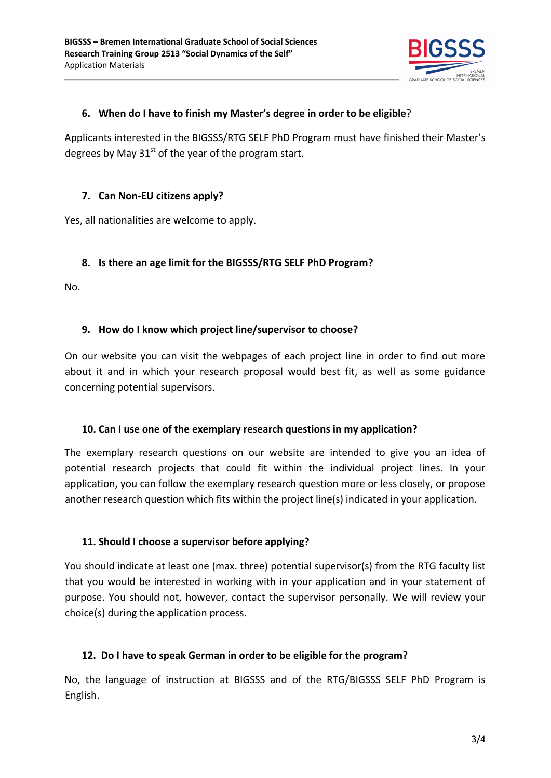

#### <span id="page-2-0"></span>**6. When do I have to finish my Master's degree in order to be eligible**?

Applicants interested in the BIGSSS/RTG SELF PhD Program must have finished their Master's degrees by May  $31<sup>st</sup>$  of the year of the program start.

#### <span id="page-2-1"></span>**7. Can Non-EU citizens apply?**

Yes, all nationalities are welcome to apply.

#### <span id="page-2-2"></span>**8. Is there an age limit for the BIGSSS/RTG SELF PhD Program?**

No.

#### <span id="page-2-3"></span>**9. How do I know which project line/supervisor to choose?**

On our website you can visit the webpages of each project line in order to find out more about it and in which your research proposal would best fit, as well as some guidance concerning potential supervisors.

#### <span id="page-2-4"></span>**10. Can I use one of the exemplary research questions in my application?**

The exemplary research questions on our website are intended to give you an idea of potential research projects that could fit within the individual project lines. In your application, you can follow the exemplary research question more or less closely, or propose another research question which fits within the project line(s) indicated in your application.

#### <span id="page-2-5"></span>**11. Should I choose a supervisor before applying?**

You should indicate at least one (max. three) potential supervisor(s) from the RTG faculty list that you would be interested in working with in your application and in your statement of purpose. You should not, however, contact the supervisor personally. We will review your choice(s) during the application process.

#### <span id="page-2-6"></span>**12. Do I have to speak German in order to be eligible for the program?**

No, the language of instruction at BIGSSS and of the RTG/BIGSSS SELF PhD Program is English.